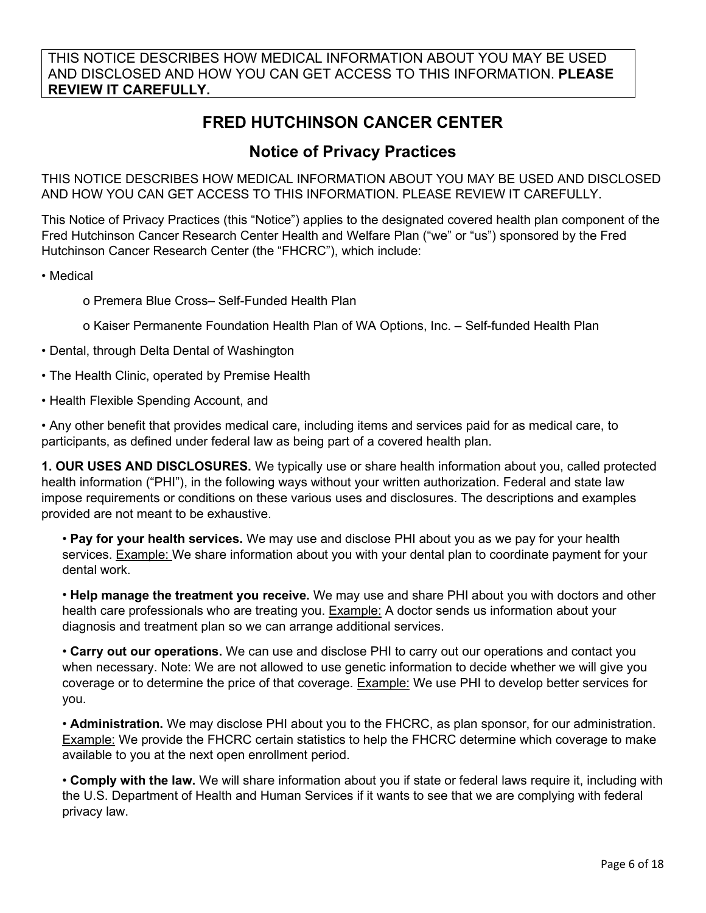THIS NOTICE DESCRIBES HOW MEDICAL INFORMATION ABOUT YOU MAY BE USED AND DISCLOSED AND HOW YOU CAN GET ACCESS TO THIS INFORMATION. **PLEASE REVIEW IT CAREFULLY.**

## **FRED HUTCHINSON CANCER CENTER**

## **Notice of Privacy Practices**

THIS NOTICE DESCRIBES HOW MEDICAL INFORMATION ABOUT YOU MAY BE USED AND DISCLOSED AND HOW YOU CAN GET ACCESS TO THIS INFORMATION. PLEASE REVIEW IT CAREFULLY.

This Notice of Privacy Practices (this "Notice") applies to the designated covered health plan component of the Fred Hutchinson Cancer Research Center Health and Welfare Plan ("we" or "us") sponsored by the Fred Hutchinson Cancer Research Center (the "FHCRC"), which include:

• Medical

o Premera Blue Cross– Self-Funded Health Plan

- o Kaiser Permanente Foundation Health Plan of WA Options, Inc. Self-funded Health Plan
- Dental, through Delta Dental of Washington
- The Health Clinic, operated by Premise Health
- Health Flexible Spending Account, and

• Any other benefit that provides medical care, including items and services paid for as medical care, to participants, as defined under federal law as being part of a covered health plan.

**1. OUR USES AND DISCLOSURES.** We typically use or share health information about you, called protected health information ("PHI"), in the following ways without your written authorization. Federal and state law impose requirements or conditions on these various uses and disclosures. The descriptions and examples provided are not meant to be exhaustive.

• **Pay for your health services.** We may use and disclose PHI about you as we pay for your health services. Example: We share information about you with your dental plan to coordinate payment for your dental work.

• **Help manage the treatment you receive.** We may use and share PHI about you with doctors and other health care professionals who are treating you. Example: A doctor sends us information about your diagnosis and treatment plan so we can arrange additional services.

• **Carry out our operations.** We can use and disclose PHI to carry out our operations and contact you when necessary. Note: We are not allowed to use genetic information to decide whether we will give you coverage or to determine the price of that coverage. Example: We use PHI to develop better services for you.

• **Administration.** We may disclose PHI about you to the FHCRC, as plan sponsor, for our administration. Example: We provide the FHCRC certain statistics to help the FHCRC determine which coverage to make available to you at the next open enrollment period.

• **Comply with the law.** We will share information about you if state or federal laws require it, including with the U.S. Department of Health and Human Services if it wants to see that we are complying with federal privacy law.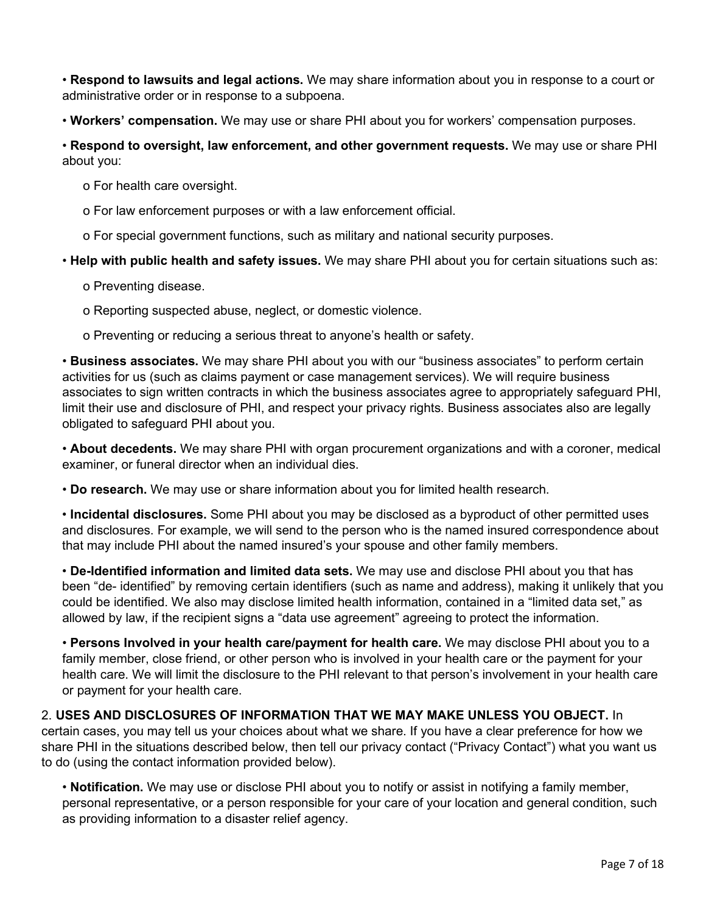• **Respond to lawsuits and legal actions.** We may share information about you in response to a court or administrative order or in response to a subpoena.

• **Workers' compensation.** We may use or share PHI about you for workers' compensation purposes.

• **Respond to oversight, law enforcement, and other government requests.** We may use or share PHI about you:

o For health care oversight.

o For law enforcement purposes or with a law enforcement official.

o For special government functions, such as military and national security purposes.

• **Help with public health and safety issues.** We may share PHI about you for certain situations such as:

o Preventing disease.

o Reporting suspected abuse, neglect, or domestic violence.

o Preventing or reducing a serious threat to anyone's health or safety.

• **Business associates.** We may share PHI about you with our "business associates" to perform certain activities for us (such as claims payment or case management services). We will require business associates to sign written contracts in which the business associates agree to appropriately safeguard PHI, limit their use and disclosure of PHI, and respect your privacy rights. Business associates also are legally obligated to safeguard PHI about you.

• **About decedents.** We may share PHI with organ procurement organizations and with a coroner, medical examiner, or funeral director when an individual dies.

• **Do research.** We may use or share information about you for limited health research.

• **Incidental disclosures.** Some PHI about you may be disclosed as a byproduct of other permitted uses and disclosures. For example, we will send to the person who is the named insured correspondence about that may include PHI about the named insured's your spouse and other family members.

• **De-Identified information and limited data sets.** We may use and disclose PHI about you that has been "de- identified" by removing certain identifiers (such as name and address), making it unlikely that you could be identified. We also may disclose limited health information, contained in a "limited data set," as allowed by law, if the recipient signs a "data use agreement" agreeing to protect the information.

• **Persons Involved in your health care/payment for health care.** We may disclose PHI about you to a family member, close friend, or other person who is involved in your health care or the payment for your health care. We will limit the disclosure to the PHI relevant to that person's involvement in your health care or payment for your health care.

2. **USES AND DISCLOSURES OF INFORMATION THAT WE MAY MAKE UNLESS YOU OBJECT.** In certain cases, you may tell us your choices about what we share. If you have a clear preference for how we share PHI in the situations described below, then tell our privacy contact ("Privacy Contact") what you want us to do (using the contact information provided below).

• **Notification.** We may use or disclose PHI about you to notify or assist in notifying a family member, personal representative, or a person responsible for your care of your location and general condition, such as providing information to a disaster relief agency.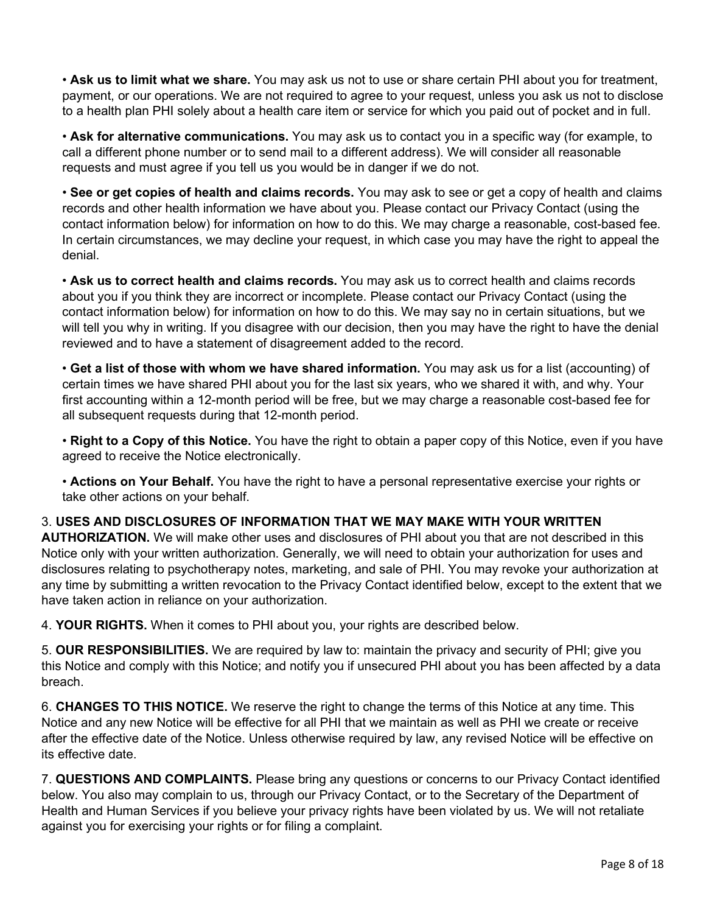• **Ask us to limit what we share.** You may ask us not to use or share certain PHI about you for treatment, payment, or our operations. We are not required to agree to your request, unless you ask us not to disclose to a health plan PHI solely about a health care item or service for which you paid out of pocket and in full.

• **Ask for alternative communications.** You may ask us to contact you in a specific way (for example, to call a different phone number or to send mail to a different address). We will consider all reasonable requests and must agree if you tell us you would be in danger if we do not.

• **See or get copies of health and claims records.** You may ask to see or get a copy of health and claims records and other health information we have about you. Please contact our Privacy Contact (using the contact information below) for information on how to do this. We may charge a reasonable, cost-based fee. In certain circumstances, we may decline your request, in which case you may have the right to appeal the denial.

• **Ask us to correct health and claims records.** You may ask us to correct health and claims records about you if you think they are incorrect or incomplete. Please contact our Privacy Contact (using the contact information below) for information on how to do this. We may say no in certain situations, but we will tell you why in writing. If you disagree with our decision, then you may have the right to have the denial reviewed and to have a statement of disagreement added to the record.

• **Get a list of those with whom we have shared information.** You may ask us for a list (accounting) of certain times we have shared PHI about you for the last six years, who we shared it with, and why. Your first accounting within a 12-month period will be free, but we may charge a reasonable cost-based fee for all subsequent requests during that 12-month period.

• **Right to a Copy of this Notice.** You have the right to obtain a paper copy of this Notice, even if you have agreed to receive the Notice electronically.

• **Actions on Your Behalf.** You have the right to have a personal representative exercise your rights or take other actions on your behalf.

## 3. **USES AND DISCLOSURES OF INFORMATION THAT WE MAY MAKE WITH YOUR WRITTEN**

**AUTHORIZATION.** We will make other uses and disclosures of PHI about you that are not described in this Notice only with your written authorization. Generally, we will need to obtain your authorization for uses and disclosures relating to psychotherapy notes, marketing, and sale of PHI. You may revoke your authorization at any time by submitting a written revocation to the Privacy Contact identified below, except to the extent that we have taken action in reliance on your authorization.

4. **YOUR RIGHTS.** When it comes to PHI about you, your rights are described below.

5. **OUR RESPONSIBILITIES.** We are required by law to: maintain the privacy and security of PHI; give you this Notice and comply with this Notice; and notify you if unsecured PHI about you has been affected by a data breach.

6. **CHANGES TO THIS NOTICE.** We reserve the right to change the terms of this Notice at any time. This Notice and any new Notice will be effective for all PHI that we maintain as well as PHI we create or receive after the effective date of the Notice. Unless otherwise required by law, any revised Notice will be effective on its effective date.

7. **QUESTIONS AND COMPLAINTS.** Please bring any questions or concerns to our Privacy Contact identified below. You also may complain to us, through our Privacy Contact, or to the Secretary of the Department of Health and Human Services if you believe your privacy rights have been violated by us. We will not retaliate against you for exercising your rights or for filing a complaint.